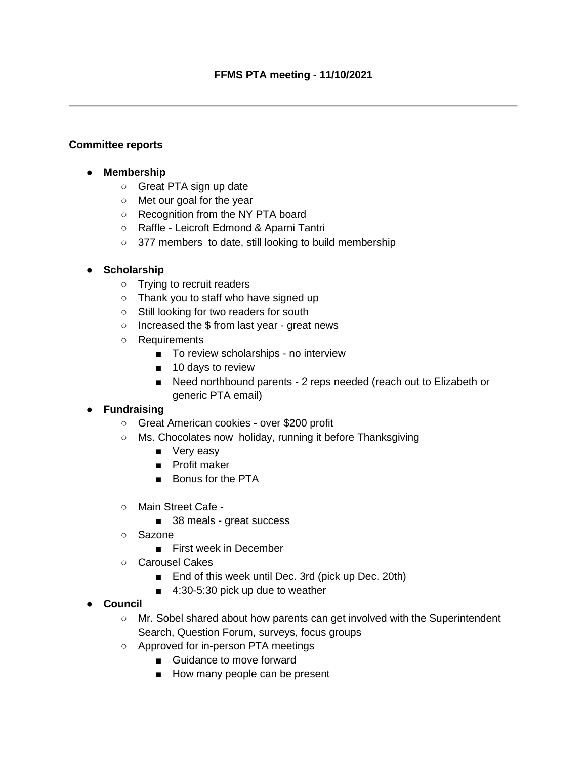### **Committee reports**

- **Membership**
	- Great PTA sign up date
	- Met our goal for the year
	- Recognition from the NY PTA board
	- Raffle Leicroft Edmond & Aparni Tantri
	- 377 members to date, still looking to build membership

#### ● **Scholarship**

- Trying to recruit readers
- Thank you to staff who have signed up
- Still looking for two readers for south
- Increased the \$ from last year great news
- Requirements
	- To review scholarships no interview
	- 10 days to review
	- Need northbound parents 2 reps needed (reach out to Elizabeth or generic PTA email)

# ● **Fundraising**

- Great American cookies over \$200 profit
- Ms. Chocolates now holiday, running it before Thanksgiving
	- Very easy
	- Profit maker
	- Bonus for the PTA
- Main Street Cafe
	- 38 meals great success
- Sazone
	- First week in December
- Carousel Cakes
	- End of this week until Dec. 3rd (pick up Dec. 20th)
	- 4:30-5:30 pick up due to weather
- **Council**
	- Mr. Sobel shared about how parents can get involved with the Superintendent Search, Question Forum, surveys, focus groups
	- Approved for in-person PTA meetings
		- Guidance to move forward
		- How many people can be present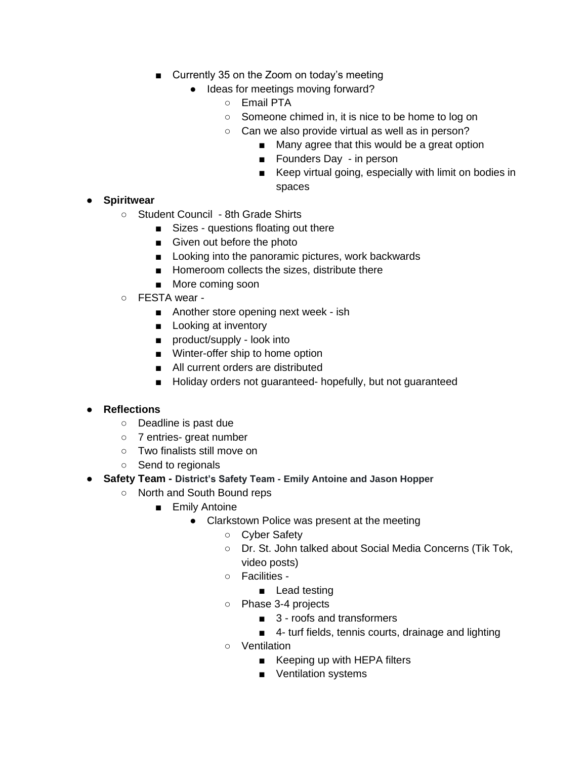- Currently 35 on the Zoom on today's meeting
	- Ideas for meetings moving forward?
		- Email PTA
		- Someone chimed in, it is nice to be home to log on
		- Can we also provide virtual as well as in person?
			- Many agree that this would be a great option
			- Founders Day in person
			- Keep virtual going, especially with limit on bodies in spaces

- **Spiritwear**
	- Student Council 8th Grade Shirts
		- Sizes questions floating out there
		- Given out before the photo
		- Looking into the panoramic pictures, work backwards
		- Homeroom collects the sizes, distribute there
		- More coming soon
	- FESTA wear
		- Another store opening next week ish
		- Looking at inventory
		- product/supply look into
		- Winter-offer ship to home option
		- All current orders are distributed
		- Holiday orders not guaranteed- hopefully, but not guaranteed

## ● **Reflections**

- Deadline is past due
- 7 entries- great number
- Two finalists still move on
- Send to regionals
- **Safety Team - District's Safety Team - Emily Antoine and Jason Hopper**
	- North and South Bound reps
		- Emily Antoine
			- Clarkstown Police was present at the meeting
				- Cyber Safety
				- Dr. St. John talked about Social Media Concerns (Tik Tok, video posts)
				- Facilities
					- Lead testing
				- Phase 3-4 projects
					- 3 roofs and transformers
					- 4- turf fields, tennis courts, drainage and lighting
				- Ventilation
					- Keeping up with HEPA filters
					- Ventilation systems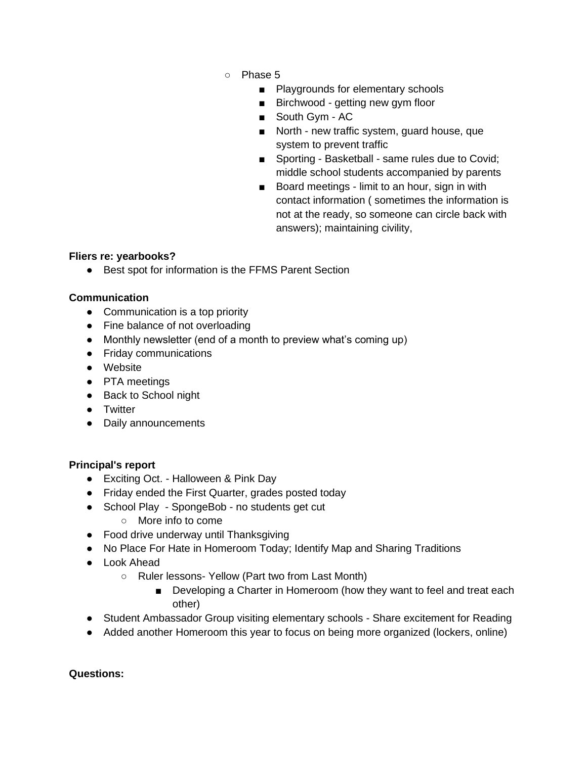- Phase 5
	- Playgrounds for elementary schools
	- Birchwood getting new gym floor
	- South Gvm AC
	- North new traffic system, guard house, que system to prevent traffic
	- Sporting Basketball same rules due to Covid; middle school students accompanied by parents
	- Board meetings limit to an hour, sign in with contact information ( sometimes the information is not at the ready, so someone can circle back with answers); maintaining civility,

### **Fliers re: yearbooks?**

● Best spot for information is the FFMS Parent Section

## **Communication**

- Communication is a top priority
- Fine balance of not overloading
- Monthly newsletter (end of a month to preview what's coming up)
- Friday communications
- Website
- PTA meetings
- Back to School night
- Twitter
- Daily announcements

## **Principal's report**

- Exciting Oct. Halloween & Pink Day
- Friday ended the First Quarter, grades posted today
- School Play SpongeBob no students get cut
	- More info to come
- Food drive underway until Thanksgiving
- No Place For Hate in Homeroom Today; Identify Map and Sharing Traditions
- Look Ahead
	- Ruler lessons- Yellow (Part two from Last Month)
		- Developing a Charter in Homeroom (how they want to feel and treat each other)
- Student Ambassador Group visiting elementary schools Share excitement for Reading
- Added another Homeroom this year to focus on being more organized (lockers, online)

#### **Questions:**